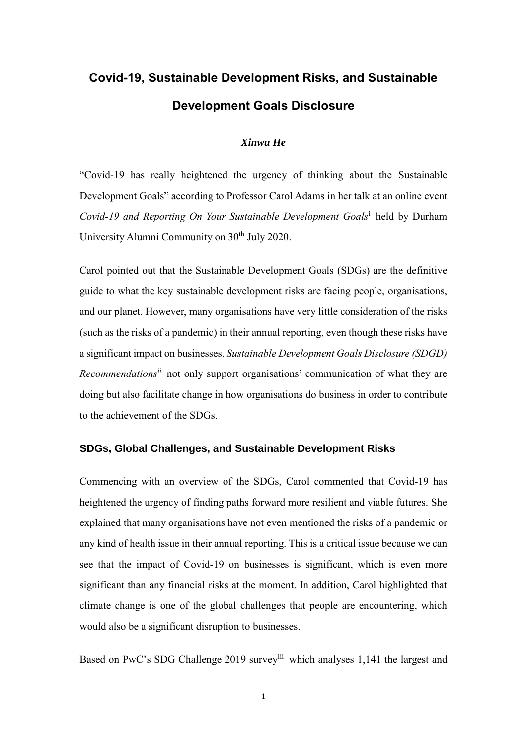# **Covid-19, Sustainable Development Risks, and Sustainable Development Goals Disclosure**

### *Xinwu He*

"Covid-19 has really heightened the urgency of thinking about the Sustainable Development Goals" according to Professor Carol Adams in her talk at an online event *Covid-19 and Reporting On Your Sustainable Development Goals*<sup>i</sup> held by Durham University Alumni Community on 30<sup>th</sup> July 2020.

Carol pointed out that the Sustainable Development Goals (SDGs) are the definitive guide to what the key sustainable development risks are facing people, organisations, and our planet. However, many organisations have very little consideration of the risks (such as the risks of a pandemic) in their annual reporting, even though these risks have a significant impact on businesses. *Sustainable Development Goals Disclosure (SDGD) Recommendationsii* not only support organisations' communication of what they are doing but also facilitate change in how organisations do business in order to contribute to the achievement of the SDGs.

### **SDGs, Global Challenges, and Sustainable Development Risks**

Commencing with an overview of the SDGs, Carol commented that Covid-19 has heightened the urgency of finding paths forward more resilient and viable futures. She explained that many organisations have not even mentioned the risks of a pandemic or any kind of health issue in their annual reporting. This is a critical issue because we can see that the impact of Covid-19 on businesses is significant, which is even more significant than any financial risks at the moment. In addition, Carol highlighted that climate change is one of the global challenges that people are encountering, which would also be a significant disruption to businesses.

Based on PwC's SDG Challenge 2019 survey<sup>iii</sup> which analyses 1,141 the largest and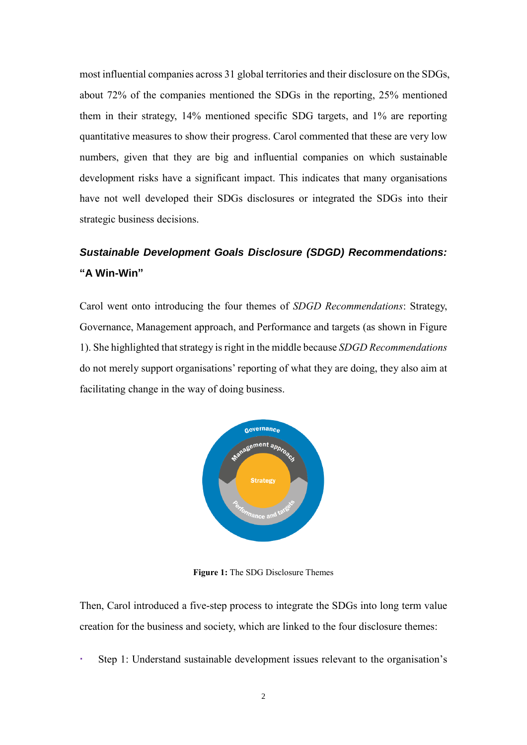most influential companies across 31 global territories and their disclosure on the SDGs, about 72% of the companies mentioned the SDGs in the reporting, 25% mentioned them in their strategy, 14% mentioned specific SDG targets, and 1% are reporting quantitative measures to show their progress. Carol commented that these are very low numbers, given that they are big and influential companies on which sustainable development risks have a significant impact. This indicates that many organisations have not well developed their SDGs disclosures or integrated the SDGs into their strategic business decisions.

## *Sustainable Development Goals Disclosure (SDGD) Recommendations:* **"A Win-Win"**

Carol went onto introducing the four themes of *SDGD Recommendations*: Strategy, Governance, Management approach, and Performance and targets (as shown in Figure 1). She highlighted that strategy is right in the middle because *SDGD Recommendations* do not merely support organisations' reporting of what they are doing, they also aim at facilitating change in the way of doing business.



**Figure 1:** The SDG Disclosure Themes

Then, Carol introduced a five-step process to integrate the SDGs into long term value creation for the business and society, which are linked to the four disclosure themes:

Step 1: Understand sustainable development issues relevant to the organisation's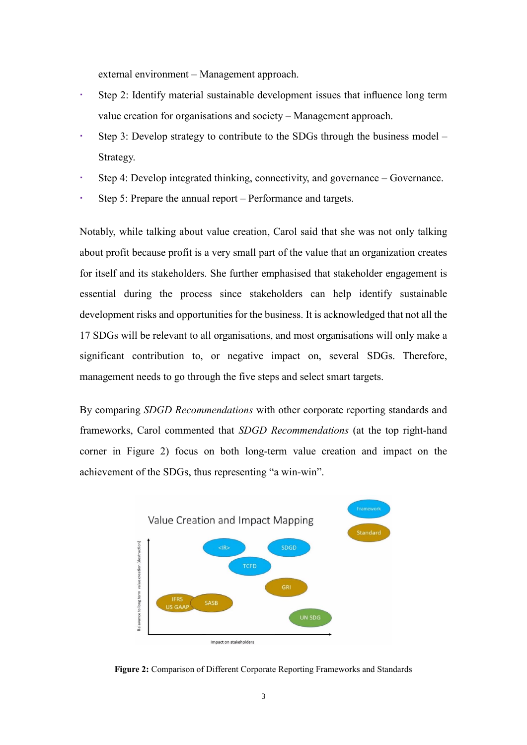external environment – Management approach.

- Step 2: Identify material sustainable development issues that influence long term value creation for organisations and society – Management approach.
- Step 3: Develop strategy to contribute to the SDGs through the business model Strategy.
- Step 4: Develop integrated thinking, connectivity, and governance Governance.
- Step 5: Prepare the annual report Performance and targets.

Notably, while talking about value creation, Carol said that she was not only talking about profit because profit is a very small part of the value that an organization creates for itself and its stakeholders. She further emphasised that stakeholder engagement is essential during the process since stakeholders can help identify sustainable development risks and opportunities for the business. It is acknowledged that not all the 17 SDGs will be relevant to all organisations, and most organisations will only make a significant contribution to, or negative impact on, several SDGs. Therefore, management needs to go through the five steps and select smart targets.

By comparing *SDGD Recommendations* with other corporate reporting standards and frameworks, Carol commented that *SDGD Recommendations* (at the top right-hand corner in Figure 2) focus on both long-term value creation and impact on the achievement of the SDGs, thus representing "a win-win".



**Figure 2:** Comparison of Different Corporate Reporting Frameworks and Standards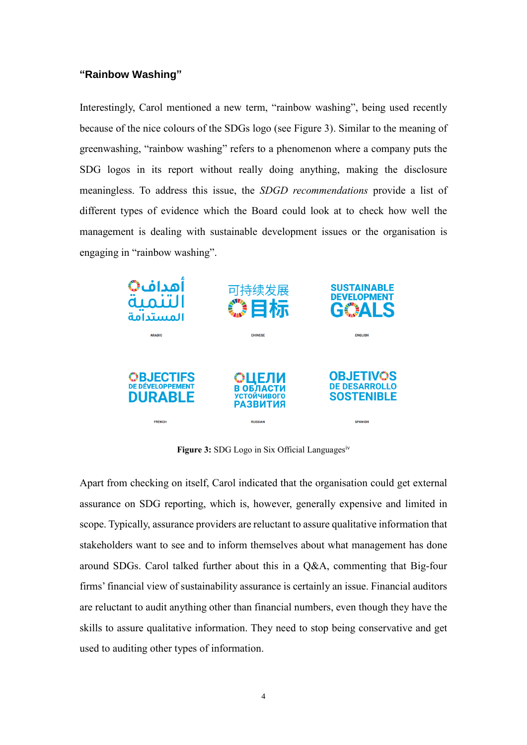#### **"Rainbow Washing"**

Interestingly, Carol mentioned a new term, "rainbow washing", being used recently because of the nice colours of the SDGs logo (see Figure 3). Similar to the meaning of greenwashing, "rainbow washing" refers to a phenomenon where a company puts the SDG logos in its report without really doing anything, making the disclosure meaningless. To address this issue, the *SDGD recommendations* provide a list of different types of evidence which the Board could look at to check how well the management is dealing with sustainable development issues or the organisation is engaging in "rainbow washing".



**Figure 3:** SDG Logo in Six Official Languages<sup>iv</sup>

Apart from checking on itself, Carol indicated that the organisation could get external assurance on SDG reporting, which is, however, generally expensive and limited in scope. Typically, assurance providers are reluctant to assure qualitative information that stakeholders want to see and to inform themselves about what management has done around SDGs. Carol talked further about this in a Q&A, commenting that Big-four firms' financial view of sustainability assurance is certainly an issue. Financial auditors are reluctant to audit anything other than financial numbers, even though they have the skills to assure qualitative information. They need to stop being conservative and get used to auditing other types of information.